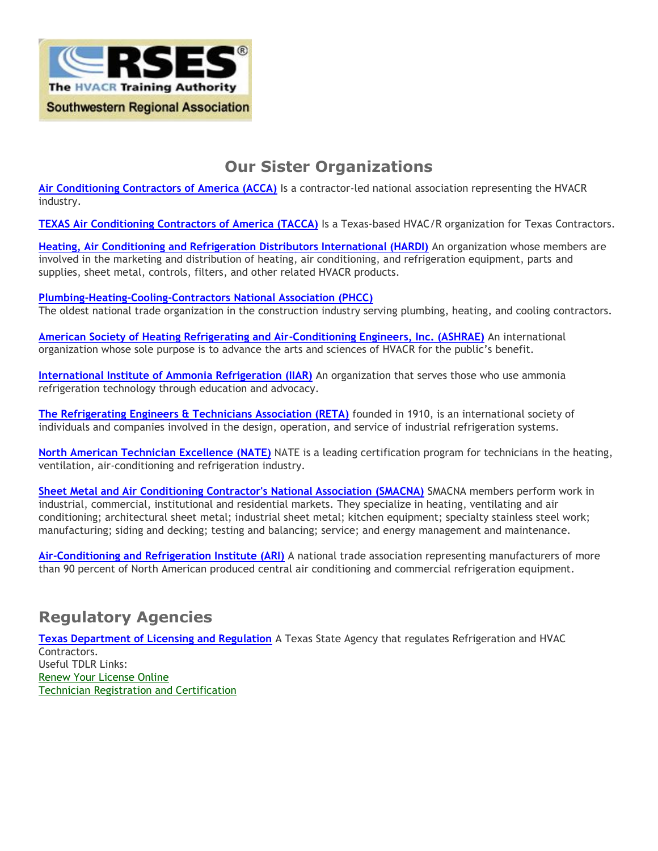

## **Our Sister Organizations**

**[Air Conditioning Contractors of America \(ACCA\)](http://www.acca.org/)** Is a contractor-led national association representing the HVACR industry.

**[TEXAS Air Conditioning Contractors of America \(TACCA\)](http://www.tacca.org/)** Is a Texas-based HVAC/R organization for Texas Contractors.

**[Heating, Air Conditioning and Refrigeration Distributors International \(HARDI\)](http://www.hardinet.org/)** An organization whose members are involved in the marketing and distribution of heating, air conditioning, and refrigeration equipment, parts and supplies, sheet metal, controls, filters, and other related HVACR products.

#### **[Plumbing-Heating-Cooling-Contractors National Association \(PHCC\)](http://www.phccweb.org/)**

The oldest national trade organization in the construction industry serving plumbing, heating, and cooling contractors.

**[American Society of Heating Refrigerating and Air-Conditioning Engineers, Inc. \(ASHRAE\)](http://www.ashrae.org/)** An international organization whose sole purpose is to advance the arts and sciences of HVACR for the public's benefit.

**[International Institute of Ammonia Refrigeration \(IIAR\)](http://www.iiar.org/)** An organization that serves those who use ammonia refrigeration technology through education and advocacy.

**[The Refrigerating Engineers & Technicians Association \(RETA\)](http://www.reta.com/)** founded in 1910, is an international society of individuals and companies involved in the design, operation, and service of industrial refrigeration systems.

**[North American Technician Excellence \(NATE\)](http://www.natex.org/)** NATE is a leading certification program for technicians in the heating, ventilation, air-conditioning and refrigeration industry.

**[Sheet Metal and Air Conditioning Contractor's National Association \(SMACNA\)](http://www.smacna.org/)** SMACNA members perform work in industrial, commercial, institutional and residential markets. They specialize in heating, ventilating and air conditioning; architectural sheet metal; industrial sheet metal; kitchen equipment; specialty stainless steel work; manufacturing; siding and decking; testing and balancing; service; and energy management and maintenance.

**[Air-Conditioning and Refrigeration Institute \(ARI\)](http://www.ahrinet.org/)** A national trade association representing manufacturers of more than 90 percent of North American produced central air conditioning and commercial refrigeration equipment.

#### **Regulatory Agencies**

**[Texas Department of Licensing and Regulation](http://www.license.state.tx.us/)** A Texas State Agency that regulates Refrigeration and HVAC Contractors. Useful TDLR Links: [Renew Your License Online](https://www.license.state.tx.us/App_Online/default.asp?LicenseType=ACR&bhcp=1) [Technician Registration and Certification](https://www.license.state.tx.us/App_Online/default.asp?LicenseType=ACR&bhcp=1)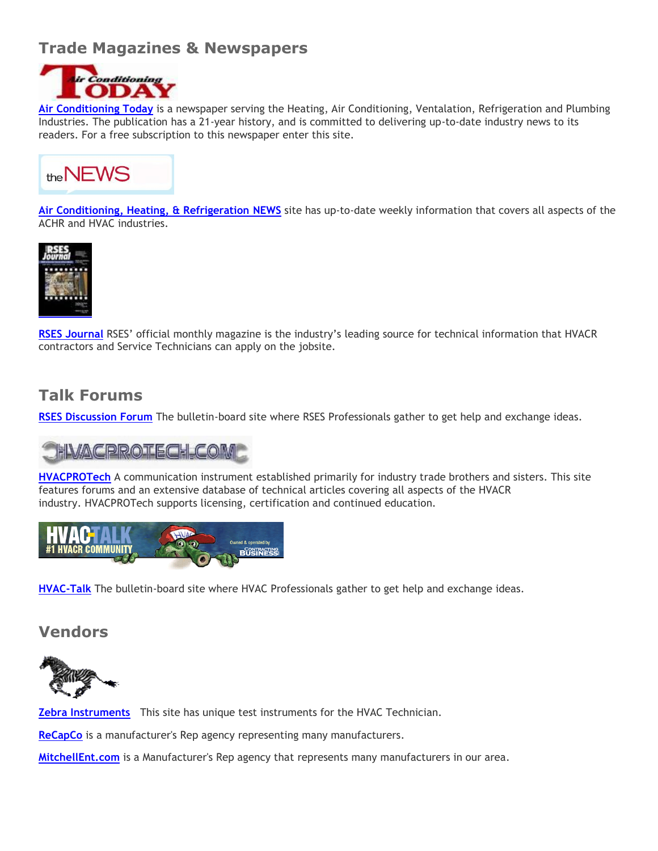## **Trade Magazines & Newspapers**



**[Air Conditioning Today](http://www.ac-today.com/)** is a newspaper serving the Heating, Air Conditioning, Ventalation, Refrigeration and Plumbing Industries. The publication has a 21-year history, and is committed to delivering up-to-date industry news to its readers. For a free subscription to this newspaper enter this site.



**[Air Conditioning, Heating, & Refrigeration NEWS](http://www.achrnews.com/)** site has up-to-date weekly information that covers all aspects of the ACHR and HVAC industries.



**RSES Journal** RSES' official monthly magazine is the industry's leading source for technical information that HVACR contractors and Service Technicians can apply on the jobsite.

### **Talk Forums**

**RSES Discussion Forum** The bulletin-board site where RSES Professionals gather to get help and exchange ideas.

# HVACPROTECH COM

**[HVACPROTech](http://www.hvacprotech.com/)** A communication instrument established primarily for industry trade brothers and sisters. This site features forums and an extensive database of technical articles covering all aspects of the HVACR industry. HVACPROTech supports licensing, certification and continued education.



**[HVAC-Talk](http://www.hvac-talk.com/)** The bulletin-board site where HVAC Professionals gather to get help and exchange ideas.

#### **Vendors**



**[Zebra Instruments](http://www.zebrainstruments.com/)** This site has unique test instruments for the HVAC Technician.

**ReCapCo** is a manufacturer's Rep agency representing many manufacturers.

**[MitchellEnt.com](http://www.mitchellent.com/)** is a Manufacturer's Rep agency that represents many manufacturers in our area.